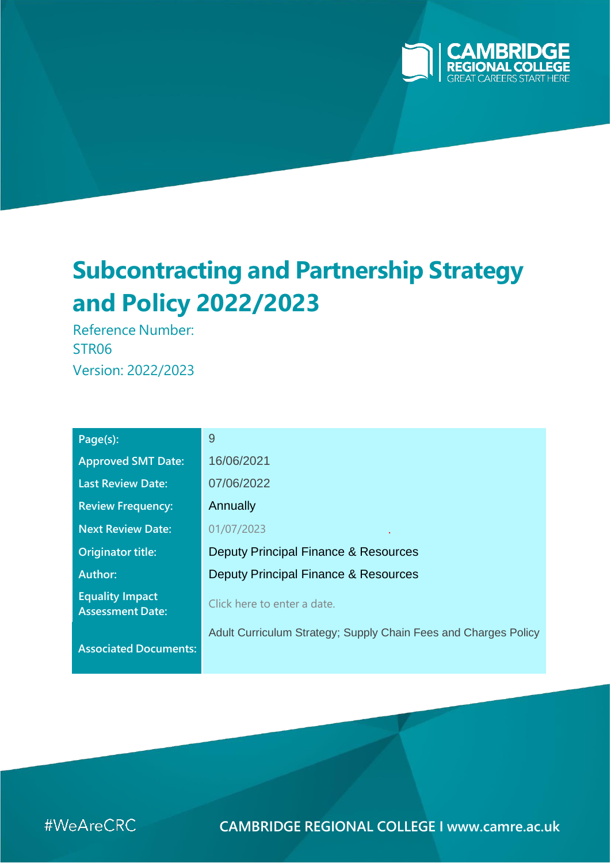

# **Subcontracting and Partnership Strategy and Policy 2022/2023**

Reference Number: STR06 Version: 2022/2023

| Page(s):                                          | 9                                                               |  |  |
|---------------------------------------------------|-----------------------------------------------------------------|--|--|
| <b>Approved SMT Date:</b>                         | 16/06/2021                                                      |  |  |
| <b>Last Review Date:</b>                          | 07/06/2022                                                      |  |  |
| <b>Review Frequency:</b>                          | Annually                                                        |  |  |
| <b>Next Review Date:</b>                          | 01/07/2023                                                      |  |  |
| <b>Originator title:</b>                          | Deputy Principal Finance & Resources                            |  |  |
| Author:                                           | Deputy Principal Finance & Resources                            |  |  |
| <b>Equality Impact</b><br><b>Assessment Date:</b> | Click here to enter a date.                                     |  |  |
| <b>Associated Documents:</b>                      | Adult Curriculum Strategy; Supply Chain Fees and Charges Policy |  |  |

#WeAreCRC

**CAMBRIDGE REGIONAL COLLEGE I [www.camre.ac.uk](http://www.camre.ac.uk/)**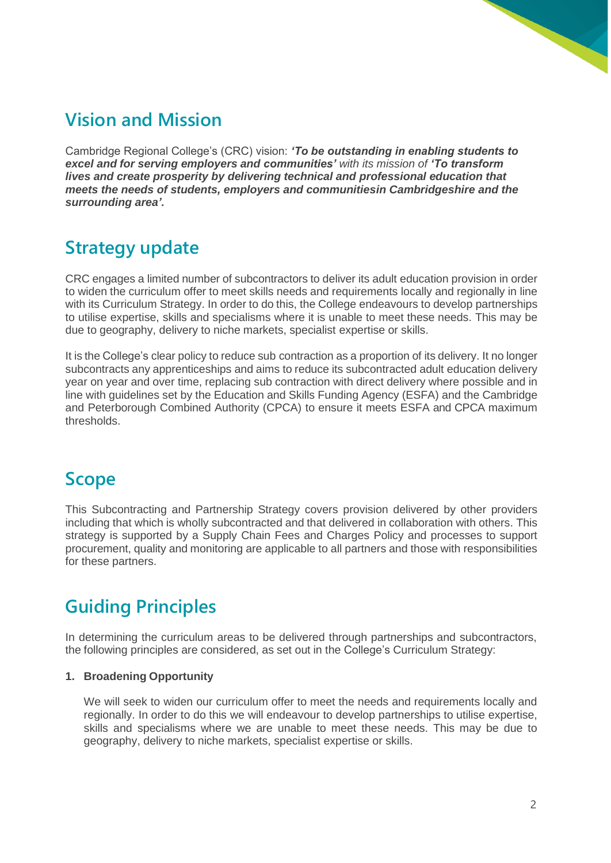# **Vision and Mission**

Cambridge Regional College's (CRC) vision: *'To be outstanding in enabling students to excel and for serving employers and communities' with its mission of 'To transform lives and create prosperity by delivering technical and professional education that meets the needs of students, employers and communitiesin Cambridgeshire and the surrounding area'.*

### **Strategy update**

CRC engages a limited number of subcontractors to deliver its adult education provision in order to widen the curriculum offer to meet skills needs and requirements locally and regionally in line with its Curriculum Strategy. In order to do this, the College endeavours to develop partnerships to utilise expertise, skills and specialisms where it is unable to meet these needs. This may be due to geography, delivery to niche markets, specialist expertise or skills.

It is the College's clear policy to reduce sub contraction as a proportion of its delivery. It no longer subcontracts any apprenticeships and aims to reduce its subcontracted adult education delivery year on year and over time, replacing sub contraction with direct delivery where possible and in line with guidelines set by the Education and Skills Funding Agency (ESFA) and the Cambridge and Peterborough Combined Authority (CPCA) to ensure it meets ESFA and CPCA maximum thresholds.

#### **Scope**

This Subcontracting and Partnership Strategy covers provision delivered by other providers including that which is wholly subcontracted and that delivered in collaboration with others. This strategy is supported by a Supply Chain Fees and Charges Policy and processes to support procurement, quality and monitoring are applicable to all partners and those with responsibilities for these partners.

## **Guiding Principles**

In determining the curriculum areas to be delivered through partnerships and subcontractors, the following principles are considered, as set out in the College's Curriculum Strategy:

#### **1. Broadening Opportunity**

We will seek to widen our curriculum offer to meet the needs and requirements locally and regionally. In order to do this we will endeavour to develop partnerships to utilise expertise, skills and specialisms where we are unable to meet these needs. This may be due to geography, delivery to niche markets, specialist expertise or skills.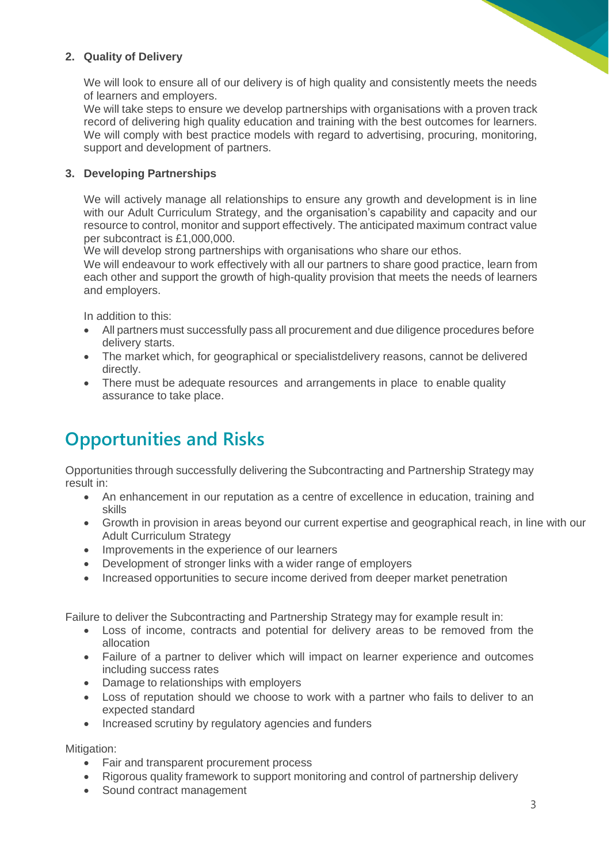#### **2. Quality of Delivery**

We will look to ensure all of our delivery is of high quality and consistently meets the needs of learners and employers.

We will take steps to ensure we develop partnerships with organisations with a proven track record of delivering high quality education and training with the best outcomes for learners. We will comply with best practice models with regard to advertising, procuring, monitoring, support and development of partners.

#### **3. Developing Partnerships**

We will actively manage all relationships to ensure any growth and development is in line with our Adult Curriculum Strategy, and the organisation's capability and capacity and our resource to control, monitor and support effectively. The anticipated maximum contract value per subcontract is £1,000,000.

We will develop strong partnerships with organisations who share our ethos.

We will endeavour to work effectively with all our partners to share good practice, learn from each other and support the growth of high-quality provision that meets the needs of learners and employers.

In addition to this:

- All partners must successfully pass all procurement and due diligence procedures before delivery starts.
- The market which, for geographical or specialistdelivery reasons, cannot be delivered directly.
- There must be adequate resources and arrangements in place to enable quality assurance to take place.

## **Opportunities and Risks**

Opportunities through successfully delivering the Subcontracting and Partnership Strategy may result in:

- An enhancement in our reputation as a centre of excellence in education, training and skills
- Growth in provision in areas beyond our current expertise and geographical reach, in line with our Adult Curriculum Strategy
- Improvements in the experience of our learners
- Development of stronger links with a wider range of employers
- Increased opportunities to secure income derived from deeper market penetration

Failure to deliver the Subcontracting and Partnership Strategy may for example result in:

- Loss of income, contracts and potential for delivery areas to be removed from the allocation
- Failure of a partner to deliver which will impact on learner experience and outcomes including success rates
- Damage to relationships with employers
- Loss of reputation should we choose to work with a partner who fails to deliver to an expected standard
- Increased scrutiny by regulatory agencies and funders

Mitigation:

- Fair and transparent procurement process
- Rigorous quality framework to support monitoring and control of partnership delivery
- Sound contract management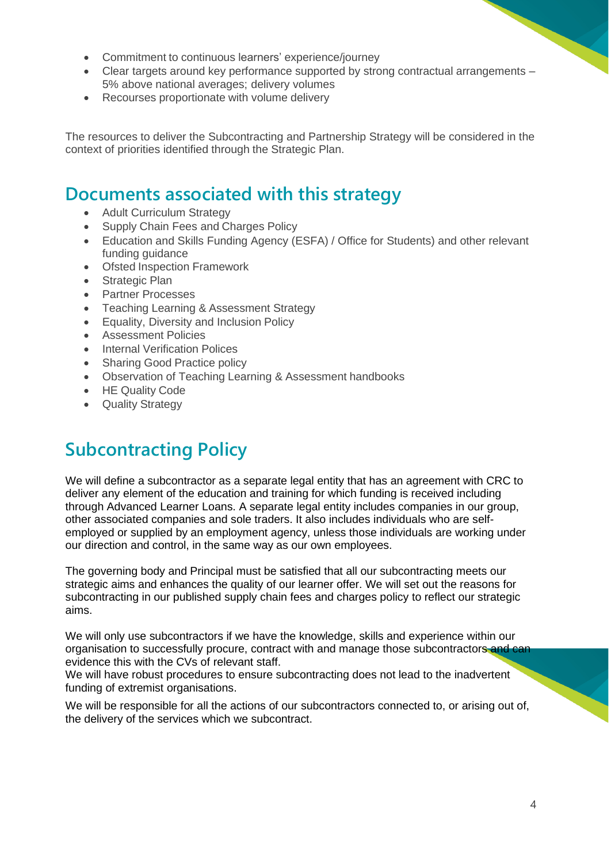- Commitment to continuous learners' experience/journey
- Clear targets around key performance supported by strong contractual arrangements 5% above national averages; delivery volumes
- Recourses proportionate with volume delivery

The resources to deliver the Subcontracting and Partnership Strategy will be considered in the context of priorities identified through the Strategic Plan.

#### **Documents associated with this strategy**

- Adult Curriculum Strategy
- Supply Chain Fees and Charges Policy
- Education and Skills Funding Agency (ESFA) / Office for Students) and other relevant funding guidance
- Ofsted Inspection Framework
- Strategic Plan
- Partner Processes
- Teaching Learning & Assessment Strategy
- Equality, Diversity and Inclusion Policy
- Assessment Policies
- **Internal Verification Polices**
- Sharing Good Practice policy
- Observation of Teaching Learning & Assessment handbooks
- HE Quality Code
- Quality Strategy

### **Subcontracting Policy**

We will define a subcontractor as a separate legal entity that has an agreement with CRC to deliver any element of the education and training for which funding is received including through Advanced Learner Loans. A separate legal entity includes companies in our group, other associated companies and sole traders. It also includes individuals who are selfemployed or supplied by an employment agency, unless those individuals are working under our direction and control, in the same way as our own employees.

The governing body and Principal must be satisfied that all our subcontracting meets our strategic aims and enhances the quality of our learner offer. We will set out the reasons for subcontracting in our published supply chain fees and charges policy to reflect our strategic aims.

We will only use subcontractors if we have the knowledge, skills and experience within our organisation to successfully procure, contract with and manage those subcontractors and can evidence this with the CVs of relevant staff.

We will have robust procedures to ensure subcontracting does not lead to the inadvertent funding of extremist organisations.

We will be responsible for all the actions of our subcontractors connected to, or arising out of, the delivery of the services which we subcontract.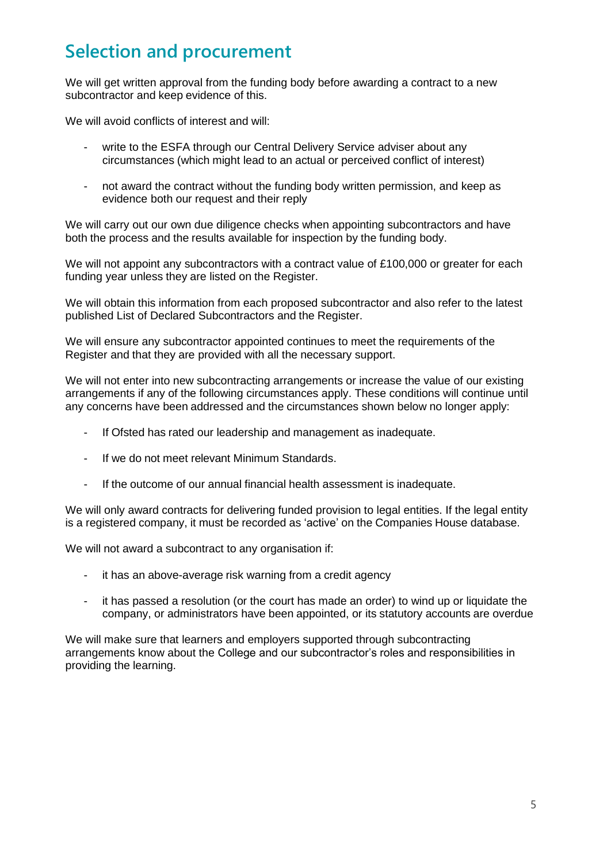### **Selection and procurement**

We will get written approval from the funding body before awarding a contract to a new subcontractor and keep evidence of this.

We will avoid conflicts of interest and will:

- write to the ESFA through our Central Delivery Service adviser about any circumstances (which might lead to an actual or perceived conflict of interest)
- not award the contract without the funding body written permission, and keep as evidence both our request and their reply

We will carry out our own due diligence checks when appointing subcontractors and have both the process and the results available for inspection by the funding body.

We will not appoint any subcontractors with a contract value of £100,000 or greater for each funding year unless they are listed on the Register.

We will obtain this information from each proposed subcontractor and also refer to the latest published List of Declared Subcontractors and the Register.

We will ensure any subcontractor appointed continues to meet the requirements of the Register and that they are provided with all the necessary support.

We will not enter into new subcontracting arrangements or increase the value of our existing arrangements if any of the following circumstances apply. These conditions will continue until any concerns have been addressed and the circumstances shown below no longer apply:

- If Ofsted has rated our leadership and management as inadequate.
- If we do not meet relevant Minimum Standards.
- If the outcome of our annual financial health assessment is inadequate.

We will only award contracts for delivering funded provision to legal entities. If the legal entity is a registered company, it must be recorded as 'active' on the Companies House database.

We will not award a subcontract to any organisation if:

- it has an above-average risk warning from a credit agency
- it has passed a resolution (or the court has made an order) to wind up or liquidate the company, or administrators have been appointed, or its statutory accounts are overdue

We will make sure that learners and employers supported through subcontracting arrangements know about the College and our subcontractor's roles and responsibilities in providing the learning.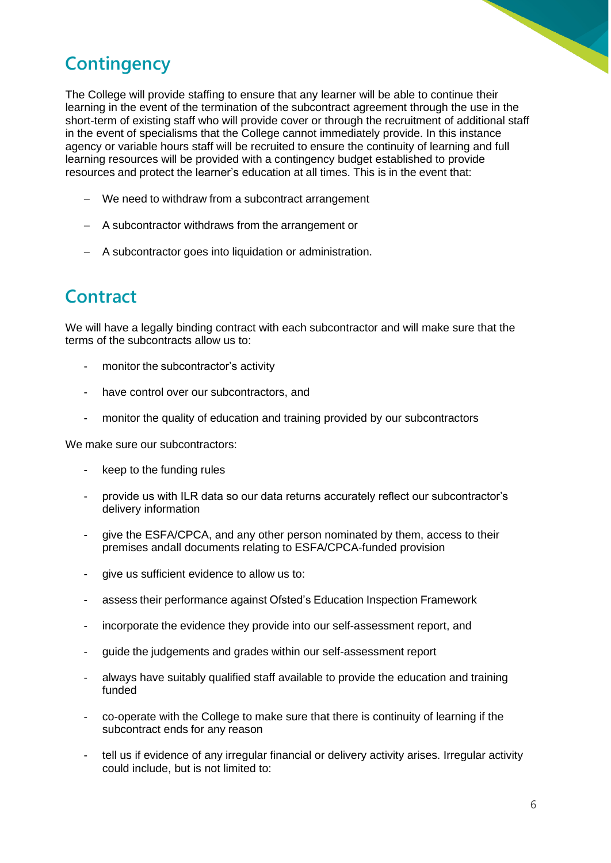### **Contingency**

The College will provide staffing to ensure that any learner will be able to continue their learning in the event of the termination of the subcontract agreement through the use in the short-term of existing staff who will provide cover or through the recruitment of additional staff in the event of specialisms that the College cannot immediately provide. In this instance agency or variable hours staff will be recruited to ensure the continuity of learning and full learning resources will be provided with a contingency budget established to provide resources and protect the learner's education at all times. This is in the event that:

- − We need to withdraw from a subcontract arrangement
- − A subcontractor withdraws from the arrangement or
- − A subcontractor goes into liquidation or administration.

### **Contract**

We will have a legally binding contract with each subcontractor and will make sure that the terms of the subcontracts allow us to:

- monitor the subcontractor's activity
- have control over our subcontractors, and
- monitor the quality of education and training provided by our subcontractors

We make sure our subcontractors:

- keep to the funding rules
- provide us with ILR data so our data returns accurately reflect our subcontractor's delivery information
- give the ESFA/CPCA, and any other person nominated by them, access to their premises andall documents relating to ESFA/CPCA-funded provision
- give us sufficient evidence to allow us to:
- assess their performance against Ofsted's Education Inspection Framework
- incorporate the evidence they provide into our self-assessment report, and
- guide the judgements and grades within our self-assessment report
- always have suitably qualified staff available to provide the education and training funded
- co-operate with the College to make sure that there is continuity of learning if the subcontract ends for any reason
- tell us if evidence of any irregular financial or delivery activity arises. Irregular activity could include, but is not limited to: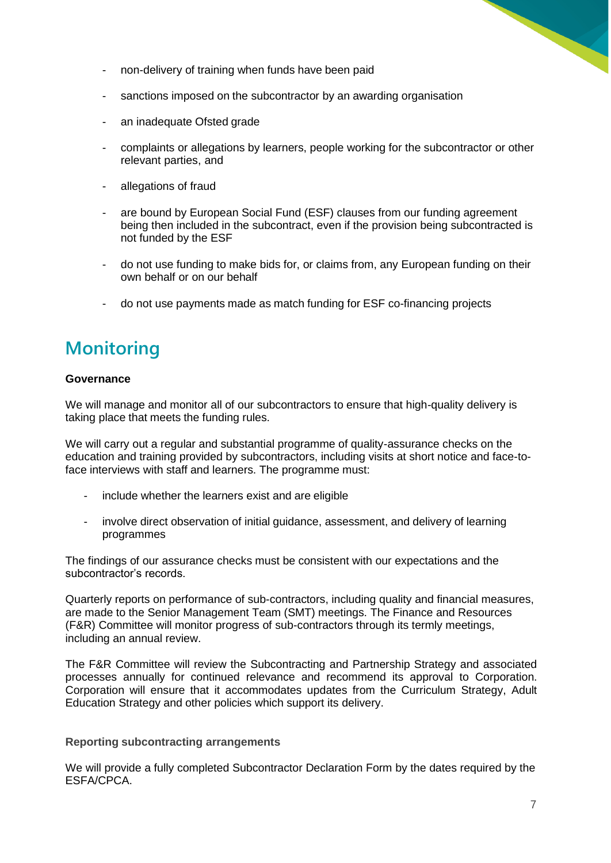- non-delivery of training when funds have been paid
- sanctions imposed on the subcontractor by an awarding organisation
- an inadequate Ofsted grade
- complaints or allegations by learners, people working for the subcontractor or other relevant parties, and
- allegations of fraud
- are bound by European Social Fund (ESF) clauses from our funding agreement being then included in the subcontract, even if the provision being subcontracted is not funded by the ESF
- do not use funding to make bids for, or claims from, any European funding on their own behalf or on our behalf
- do not use payments made as match funding for ESF co-financing projects

#### **Monitoring**

#### **Governance**

We will manage and monitor all of our subcontractors to ensure that high-quality delivery is taking place that meets the funding rules.

We will carry out a regular and substantial programme of quality-assurance checks on the education and training provided by subcontractors, including visits at short notice and face-toface interviews with staff and learners. The programme must:

- include whether the learners exist and are eligible
- involve direct observation of initial quidance, assessment, and delivery of learning programmes

The findings of our assurance checks must be consistent with our expectations and the subcontractor's records.

Quarterly reports on performance of sub-contractors, including quality and financial measures, are made to the Senior Management Team (SMT) meetings. The Finance and Resources (F&R) Committee will monitor progress of sub-contractors through its termly meetings, including an annual review.

The F&R Committee will review the Subcontracting and Partnership Strategy and associated processes annually for continued relevance and recommend its approval to Corporation. Corporation will ensure that it accommodates updates from the Curriculum Strategy, Adult Education Strategy and other policies which support its delivery.

#### **Reporting subcontracting arrangements**

We will provide a fully completed Subcontractor Declaration Form by the dates required by the ESFA/CPCA.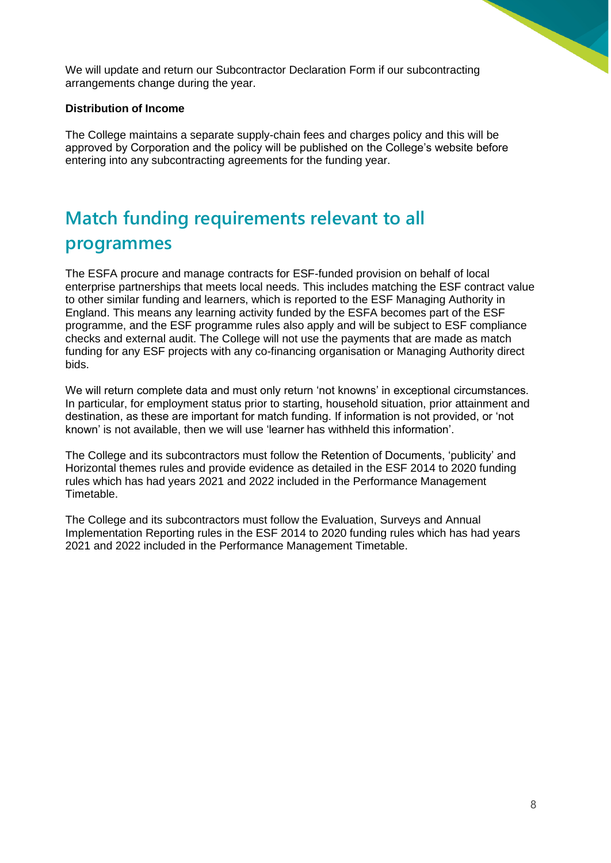We will update and return our Subcontractor Declaration Form if our subcontracting arrangements change during the year.

#### **Distribution of Income**

The College maintains a separate supply-chain fees and charges policy and this will be approved by Corporation and the policy will be published on the College's website before entering into any subcontracting agreements for the funding year.

# **Match funding requirements relevant to all programmes**

The ESFA procure and manage contracts for ESF-funded provision on behalf of local enterprise partnerships that meets local needs. This includes matching the ESF contract value to other similar funding and learners, which is reported to the ESF Managing Authority in England. This means any learning activity funded by the ESFA becomes part of the ESF programme, and the ESF programme rules also apply and will be subject to ESF compliance checks and external audit. The College will not use the payments that are made as match funding for any ESF projects with any co-financing organisation or Managing Authority direct bids.

We will return complete data and must only return 'not knowns' in exceptional circumstances. In particular, for employment status prior to starting, household situation, prior attainment and destination, as these are important for match funding. If information is not provided, or 'not known' is not available, then we will use 'learner has withheld this information'.

The College and its subcontractors must follow the Retention of Documents, 'publicity' and Horizontal themes rules and provide evidence as detailed in the ESF 2014 to 2020 funding rules which has had years 2021 and 2022 included in the Performance Management Timetable.

The College and its subcontractors must follow the Evaluation, Surveys and Annual Implementation Reporting rules in the ESF 2014 to 2020 funding rules which has had years 2021 and 2022 included in the Performance Management Timetable.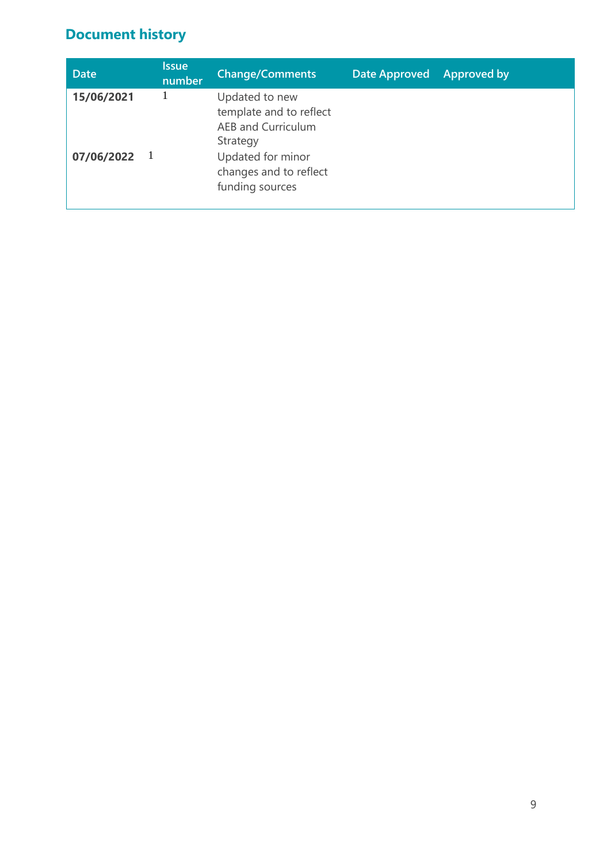#### **Document history**

| <b>Date</b>    | <b>Issue</b><br>number | <b>Change/Comments</b>                                                      | Date Approved Approved by |  |
|----------------|------------------------|-----------------------------------------------------------------------------|---------------------------|--|
| 15/06/2021     |                        | Updated to new<br>template and to reflect<br>AEB and Curriculum<br>Strategy |                           |  |
| $07/06/2022$ 1 |                        | Updated for minor<br>changes and to reflect<br>funding sources              |                           |  |